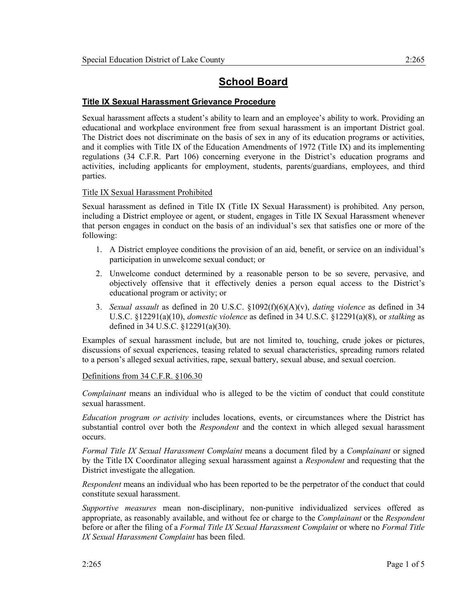# **School Board**

# **Title IX Sexual Harassment Grievance Procedure**

Sexual harassment affects a student's ability to learn and an employee's ability to work. Providing an educational and workplace environment free from sexual harassment is an important District goal. The District does not discriminate on the basis of sex in any of its education programs or activities, and it complies with Title IX of the Education Amendments of 1972 (Title IX) and its implementing regulations (34 C.F.R. Part 106) concerning everyone in the District's education programs and activities, including applicants for employment, students, parents/guardians, employees, and third parties.

# Title IX Sexual Harassment Prohibited

Sexual harassment as defined in Title IX (Title IX Sexual Harassment) is prohibited. Any person, including a District employee or agent, or student, engages in Title IX Sexual Harassment whenever that person engages in conduct on the basis of an individual's sex that satisfies one or more of the following:

- 1. A District employee conditions the provision of an aid, benefit, or service on an individual's participation in unwelcome sexual conduct; or
- 2. Unwelcome conduct determined by a reasonable person to be so severe, pervasive, and objectively offensive that it effectively denies a person equal access to the District's educational program or activity; or
- 3. *Sexual assault* as defined in 20 U.S.C. §1092(f)(6)(A)(v), *dating violence* as defined in 34 U.S.C. §12291(a)(10), *domestic violence* as defined in 34 U.S.C. §12291(a)(8), or *stalking* as defined in 34 U.S.C. §12291(a)(30).

Examples of sexual harassment include, but are not limited to, touching, crude jokes or pictures, discussions of sexual experiences, teasing related to sexual characteristics, spreading rumors related to a person's alleged sexual activities, rape, sexual battery, sexual abuse, and sexual coercion.

# Definitions from 34 C.F.R. §106.30

*Complainant* means an individual who is alleged to be the victim of conduct that could constitute sexual harassment.

*Education program or activity* includes locations, events, or circumstances where the District has substantial control over both the *Respondent* and the context in which alleged sexual harassment occurs.

*Formal Title IX Sexual Harassment Complaint* means a document filed by a *Complainant* or signed by the Title IX Coordinator alleging sexual harassment against a *Respondent* and requesting that the District investigate the allegation.

*Respondent* means an individual who has been reported to be the perpetrator of the conduct that could constitute sexual harassment.

*Supportive measures* mean non-disciplinary, non-punitive individualized services offered as appropriate, as reasonably available, and without fee or charge to the *Complainant* or the *Respondent* before or after the filing of a *Formal Title IX Sexual Harassment Complaint* or where no *Formal Title IX Sexual Harassment Complaint* has been filed.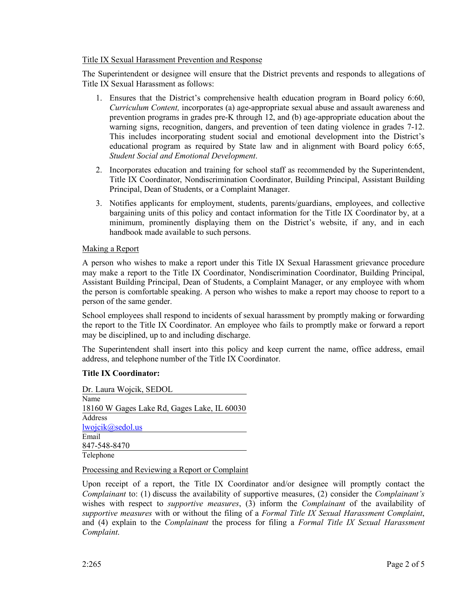# Title IX Sexual Harassment Prevention and Response

The Superintendent or designee will ensure that the District prevents and responds to allegations of Title IX Sexual Harassment as follows:

- 1. Ensures that the District's comprehensive health education program in Board policy 6:60, *Curriculum Content,* incorporates (a) age-appropriate sexual abuse and assault awareness and prevention programs in grades pre-K through 12, and (b) age-appropriate education about the warning signs, recognition, dangers, and prevention of teen dating violence in grades 7-12. This includes incorporating student social and emotional development into the District's educational program as required by State law and in alignment with Board policy 6:65, *Student Social and Emotional Development*.
- 2. Incorporates education and training for school staff as recommended by the Superintendent, Title IX Coordinator, Nondiscrimination Coordinator, Building Principal, Assistant Building Principal, Dean of Students, or a Complaint Manager.
- 3. Notifies applicants for employment, students, parents/guardians, employees, and collective bargaining units of this policy and contact information for the Title IX Coordinator by, at a minimum, prominently displaying them on the District's website, if any, and in each handbook made available to such persons.

# Making a Report

A person who wishes to make a report under this Title IX Sexual Harassment grievance procedure may make a report to the Title IX Coordinator, Nondiscrimination Coordinator, Building Principal, Assistant Building Principal, Dean of Students, a Complaint Manager, or any employee with whom the person is comfortable speaking. A person who wishes to make a report may choose to report to a person of the same gender.

School employees shall respond to incidents of sexual harassment by promptly making or forwarding the report to the Title IX Coordinator. An employee who fails to promptly make or forward a report may be disciplined, up to and including discharge.

The Superintendent shall insert into this policy and keep current the name, office address, email address, and telephone number of the Title IX Coordinator.

# **Title IX Coordinator:**

Dr. Laura Wojcik, SEDOL Name 18160 W Gages Lake Rd, Gages Lake, IL 60030 Address lwojcik@sedol.us Email 847-548-8470 Telephone

# Processing and Reviewing a Report or Complaint

Upon receipt of a report, the Title IX Coordinator and/or designee will promptly contact the *Complainant* to: (1) discuss the availability of supportive measures, (2) consider the *Complainant's* wishes with respect to *supportive measures*, (3) inform the *Complainant* of the availability of *supportive measures* with or without the filing of a *Formal Title IX Sexual Harassment Complaint*, and (4) explain to the *Complainant* the process for filing a *Formal Title IX Sexual Harassment Complaint*.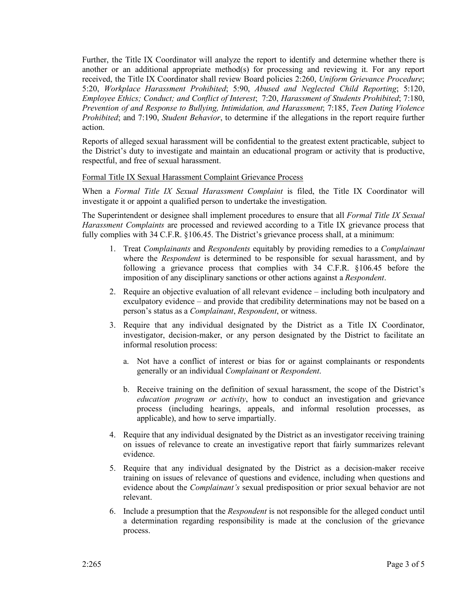Further, the Title IX Coordinator will analyze the report to identify and determine whether there is another or an additional appropriate method(s) for processing and reviewing it. For any report received, the Title IX Coordinator shall review Board policies 2:260, *Uniform Grievance Procedure*; 5:20, *Workplace Harassment Prohibited*; 5:90, *Abused and Neglected Child Reporting*; 5:120, *Employee Ethics; Conduct; and Conflict of Interest*; 7:20, *Harassment of Students Prohibited*; 7:180, *Prevention of and Response to Bullying, Intimidation, and Harassment*; 7:185, *Teen Dating Violence Prohibited*; and 7:190, *Student Behavior*, to determine if the allegations in the report require further action.

Reports of alleged sexual harassment will be confidential to the greatest extent practicable, subject to the District's duty to investigate and maintain an educational program or activity that is productive, respectful, and free of sexual harassment.

# Formal Title IX Sexual Harassment Complaint Grievance Process

When a *Formal Title IX Sexual Harassment Complaint* is filed, the Title IX Coordinator will investigate it or appoint a qualified person to undertake the investigation.

The Superintendent or designee shall implement procedures to ensure that all *Formal Title IX Sexual Harassment Complaints* are processed and reviewed according to a Title IX grievance process that fully complies with 34 C.F.R. §106.45. The District's grievance process shall, at a minimum:

- 1. Treat *Complainants* and *Respondents* equitably by providing remedies to a *Complainant* where the *Respondent* is determined to be responsible for sexual harassment, and by following a grievance process that complies with 34 C.F.R. §106.45 before the imposition of any disciplinary sanctions or other actions against a *Respondent*.
- 2. Require an objective evaluation of all relevant evidence including both inculpatory and exculpatory evidence – and provide that credibility determinations may not be based on a person's status as a *Complainant*, *Respondent*, or witness.
- 3. Require that any individual designated by the District as a Title IX Coordinator, investigator, decision-maker, or any person designated by the District to facilitate an informal resolution process:
	- a. Not have a conflict of interest or bias for or against complainants or respondents generally or an individual *Complainant* or *Respondent*.
	- b. Receive training on the definition of sexual harassment, the scope of the District's *education program or activity*, how to conduct an investigation and grievance process (including hearings, appeals, and informal resolution processes, as applicable), and how to serve impartially.
- 4. Require that any individual designated by the District as an investigator receiving training on issues of relevance to create an investigative report that fairly summarizes relevant evidence.
- 5. Require that any individual designated by the District as a decision-maker receive training on issues of relevance of questions and evidence, including when questions and evidence about the *Complainant's* sexual predisposition or prior sexual behavior are not relevant.
- 6. Include a presumption that the *Respondent* is not responsible for the alleged conduct until a determination regarding responsibility is made at the conclusion of the grievance process.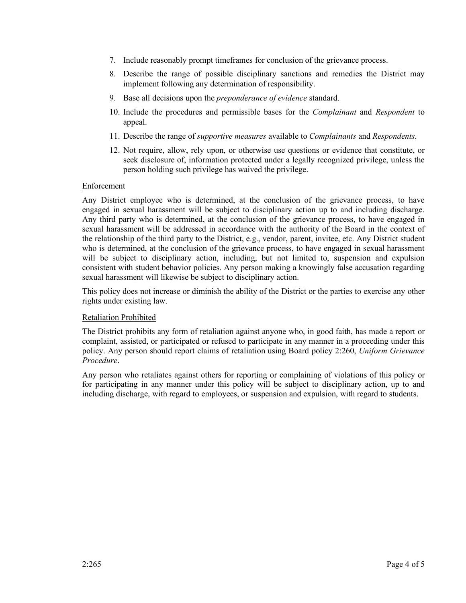- 7. Include reasonably prompt timeframes for conclusion of the grievance process.
- 8. Describe the range of possible disciplinary sanctions and remedies the District may implement following any determination of responsibility.
- 9. Base all decisions upon the *preponderance of evidence* standard.
- 10. Include the procedures and permissible bases for the *Complainant* and *Respondent* to appeal.
- 11. Describe the range of *supportive measures* available to *Complainants* and *Respondents*.
- 12. Not require, allow, rely upon, or otherwise use questions or evidence that constitute, or seek disclosure of, information protected under a legally recognized privilege, unless the person holding such privilege has waived the privilege.

#### Enforcement

Any District employee who is determined, at the conclusion of the grievance process, to have engaged in sexual harassment will be subject to disciplinary action up to and including discharge. Any third party who is determined, at the conclusion of the grievance process, to have engaged in sexual harassment will be addressed in accordance with the authority of the Board in the context of the relationship of the third party to the District, e.g., vendor, parent, invitee, etc. Any District student who is determined, at the conclusion of the grievance process, to have engaged in sexual harassment will be subject to disciplinary action, including, but not limited to, suspension and expulsion consistent with student behavior policies. Any person making a knowingly false accusation regarding sexual harassment will likewise be subject to disciplinary action.

This policy does not increase or diminish the ability of the District or the parties to exercise any other rights under existing law.

#### Retaliation Prohibited

The District prohibits any form of retaliation against anyone who, in good faith, has made a report or complaint, assisted, or participated or refused to participate in any manner in a proceeding under this policy. Any person should report claims of retaliation using Board policy 2:260, *Uniform Grievance Procedure*.

Any person who retaliates against others for reporting or complaining of violations of this policy or for participating in any manner under this policy will be subject to disciplinary action, up to and including discharge, with regard to employees, or suspension and expulsion, with regard to students.